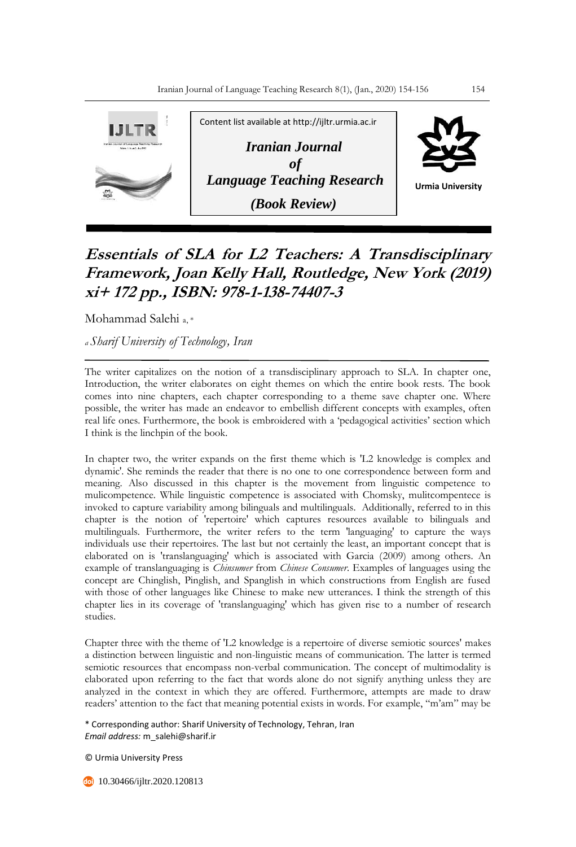

## **Essentials of SLA for L2 Teachers: A Transdisciplinary Framework, Joan Kelly Hall, Routledge, New York (2019) xi+ 172 pp., ISBN: 978-1-138-74407-3**

Mohammad Salehi a, \*

*<sup>a</sup>Sharif University of Technology, Iran* 

The writer capitalizes on the notion of a transdisciplinary approach to SLA. In chapter one, Introduction, the writer elaborates on eight themes on which the entire book rests. The book comes into nine chapters, each chapter corresponding to a theme save chapter one. Where possible, the writer has made an endeavor to embellish different concepts with examples, often real life ones. Furthermore, the book is embroidered with a 'pedagogical activities' section which I think is the linchpin of the book.

In chapter two, the writer expands on the first theme which is 'L2 knowledge is complex and dynamic'. She reminds the reader that there is no one to one correspondence between form and meaning. Also discussed in this chapter is the movement from linguistic competence to mulicompetence. While linguistic competence is associated with Chomsky, mulitcompentece is invoked to capture variability among bilinguals and multilinguals. Additionally, referred to in this chapter is the notion of 'repertoire' which captures resources available to bilinguals and multilinguals. Furthermore, the writer refers to the term 'languaging' to capture the ways individuals use their repertoires. The last but not certainly the least, an important concept that is elaborated on is 'translanguaging' which is associated with Garcia (2009) among others. An example of translanguaging is *Chinsumer* from *Chinese Consumer*. Examples of languages using the concept are Chinglish, Pinglish, and Spanglish in which constructions from English are fused with those of other languages like Chinese to make new utterances. I think the strength of this chapter lies in its coverage of 'translanguaging' which has given rise to a number of research studies.

Chapter three with the theme of 'L2 knowledge is a repertoire of diverse semiotic sources' makes a distinction between linguistic and non-linguistic means of communication. The latter is termed semiotic resources that encompass non-verbal communication. The concept of multimodality is elaborated upon referring to the fact that words alone do not signify anything unless they are analyzed in the context in which they are offered. Furthermore, attempts are made to draw readers' attention to the fact that meaning potential exists in words. For example, "m'am" may be

\* Corresponding author: Sharif University of Technology, Tehran, Iran *Email address:* m\_salehi@sharif.ir

© Urmia University Press

**10.30466/ijltr.2020.120813**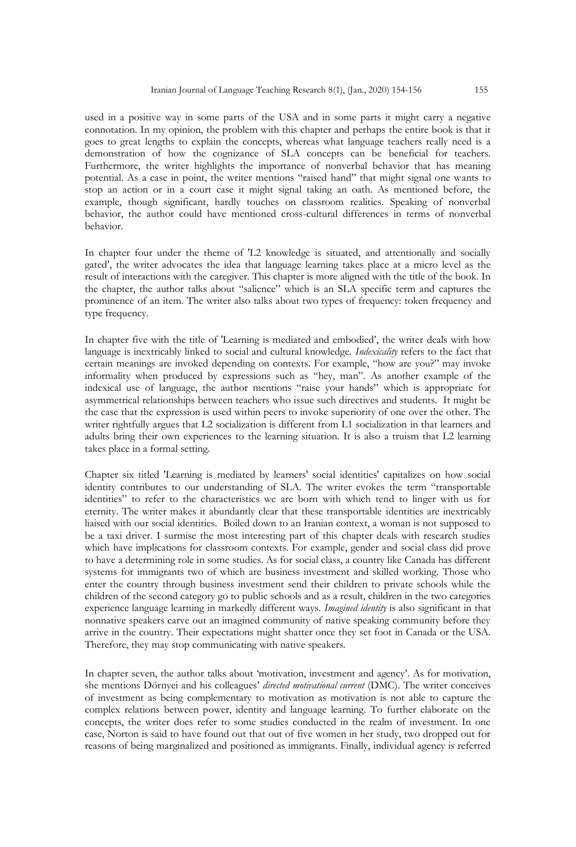used in a positive way in some parts of the USA and in some parts it might carry a negative connotation. In my opinion, the problem with this chapter and perhaps the entire book is that it goes to great lengths to explain the concepts, whereas what language teachers really need is a demonstration of how the cognizance of SLA concepts can be beneficial for teachers. Furthermore, the writer highlights the importance of nonverbal behavior that has meaning potential. As a case in point, the writer mentions "raised hand" that might signal one wants to stop an action or in a court case it might signal taking an oath. As mentioned before, the example, though significant, hardly touches on classroom realities. Speaking of nonverbal behavior, the author could have mentioned cross-cultural differences in terms of nonverbal behavior.

In chapter four under the theme of 'L2 knowledge is situated, and attentionally and socially gated', the writer advocates the idea that language learning takes place at a micro level as the result of interactions with the caregiver. This chapter is more aligned with the title of the book. In the chapter, the author talks about "salience" which is an SLA specific term and captures the prominence of an item. The writer also talks about two types of frequency: token frequency and type frequency.

In chapter five with the title of 'Learning is mediated and embodied', the writer deals with how language is inextricably linked to social and cultural knowledge. *Indexicality* refers to the fact that certain meanings are invoked depending on contexts. For example, "how are you?" may invoke informality when produced by expressions such as "hey, man". As another example of the indexical use of language, the author mentions "raise your hands" which is appropriate for asymmetrical relationships between teachers who issue such directives and students. It might be the case that the expression is used within peers to invoke superiority of one over the other. The writer rightfully argues that L2 socialization is different from L1 socialization in that learners and adults bring their own experiences to the learning situation. It is also a truism that L2 learning takes place in a formal setting.

Chapter six titled 'Learning is mediated by learners' social identities' capitalizes on how social identity contributes to our understanding of SLA. The writer evokes the term "transportable identities" to refer to the characteristics we are born with which tend to linger with us for eternity. The writer makes it abundantly clear that these transportable identities are inextricably liaised with our social identities. Boiled down to an Iranian context, a woman is not supposed to be a taxi driver. I surmise the most interesting part of this chapter deals with research studies which have implications for classroom contexts. For example, gender and social class did prove to have a determining role in some studies. As for social class, a country like Canada has different systems for immigrants two of which are business investment and skilled working. Those who enter the country through business investment send their children to private schools while the children of the second category go to public schools and as a result, children in the two categories experience language learning in markedly different ways. *Imagined identity* is also significant in that nonnative speakers carve out an imagined community of native speaking community before they arrive in the country. Their expectations might shatter once they set foot in Canada or the USA. Therefore, they may stop communicating with native speakers.

In chapter seven, the author talks about 'motivation, investment and agency'. As for motivation, she mentions Dörnyei and his colleagues' *directed motivational current* (DMC). The writer conceives of investment as being complementary to motivation as motivation is not able to capture the complex relations between power, identity and language learning. To further elaborate on the concepts, the writer does refer to some studies conducted in the realm of investment. In one case, Norton is said to have found out that out of five women in her study, two dropped out for reasons of being marginalized and positioned as immigrants. Finally, individual agency is referred